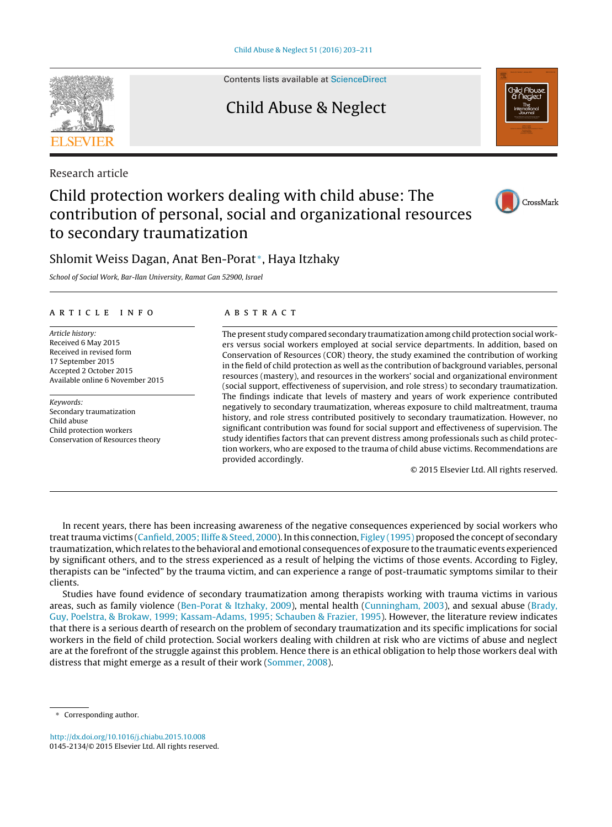Contents lists available at [ScienceDirect](http://www.sciencedirect.com/science/journal/01452134)

## Child Abuse & Neglect



### Research article

## Child protection workers dealing with child abuse: The contribution of personal, social and organizational resources to secondary traumatization



### Shlomit Weiss Dagan, Anat Ben-Porat <sup>∗</sup>, Haya Itzhaky

School of Social Work, Bar-Ilan University, Ramat Gan 52900, Israel

#### ARTICLE INFO

Article history: Received 6 May 2015 Received in revised form 17 September 2015 Accepted 2 October 2015 Available online 6 November 2015

Keywords: Secondary traumatization Child abuse Child protection workers Conservation of Resources theory

#### A B S T R A C T

The present study compared secondary traumatization among child protection social workers versus social workers employed at social service departments. In addition, based on Conservation of Resources (COR) theory, the study examined the contribution of working in the field of child protection as well as the contribution of background variables, personal resources (mastery), and resources in the workers' social and organizational environment (social support, effectiveness of supervision, and role stress) to secondary traumatization. The findings indicate that levels of mastery and years of work experience contributed negatively to secondary traumatization, whereas exposure to child maltreatment, trauma history, and role stress contributed positively to secondary traumatization. However, no significant contribution was found for social support and effectiveness of supervision. The study identifies factors that can prevent distress among professionals such as child protection workers, who are exposed to the trauma of child abuse victims. Recommendations are provided accordingly.

© 2015 Elsevier Ltd. All rights reserved.

In recent years, there has been increasing awareness of the negative consequences experienced by social workers who treat trauma victims [\(Canfield,](#page--1-0) 2005; Iliffe [&](#page--1-0) [Steed,](#page--1-0) [2000\).](#page--1-0) In this connection, [Figley](#page--1-0) [\(1995\)](#page--1-0) proposed the concept of secondary traumatization, which relates to the behavioral and emotional consequences of exposure to the traumatic events experienced by significant others, and to the stress experienced as a result of helping the victims of those events. According to Figley, therapists can be "infected" by the trauma victim, and can experience a range of post-traumatic symptoms similar to their clients.

Studies have found evidence of secondary traumatization among therapists working with trauma victims in various areas, such as family violence ([Ben-Porat](#page--1-0) [&](#page--1-0) [Itzhaky,](#page--1-0) [2009\),](#page--1-0) mental health [\(Cunningham,](#page--1-0) [2003\),](#page--1-0) and sexual abuse [\(Brady,](#page--1-0) [Guy,](#page--1-0) [Poelstra,](#page--1-0) [&](#page--1-0) [Brokaw,](#page--1-0) [1999;](#page--1-0) [Kassam-Adams,](#page--1-0) [1995;](#page--1-0) [Schauben](#page--1-0) [&](#page--1-0) [Frazier,](#page--1-0) [1995\).](#page--1-0) However, the literature review indicates that there is a serious dearth of research on the problem of secondary traumatization and its specific implications for social workers in the field of child protection. Social workers dealing with children at risk who are victims of abuse and neglect are at the forefront of the struggle against this problem. Hence there is an ethical obligation to help those workers deal with distress that might emerge as a result of their work ([Sommer,](#page--1-0) [2008\).](#page--1-0)

[http://dx.doi.org/10.1016/j.chiabu.2015.10.008](dx.doi.org/10.1016/j.chiabu.2015.10.008) 0145-2134/© 2015 Elsevier Ltd. All rights reserved.

Corresponding author.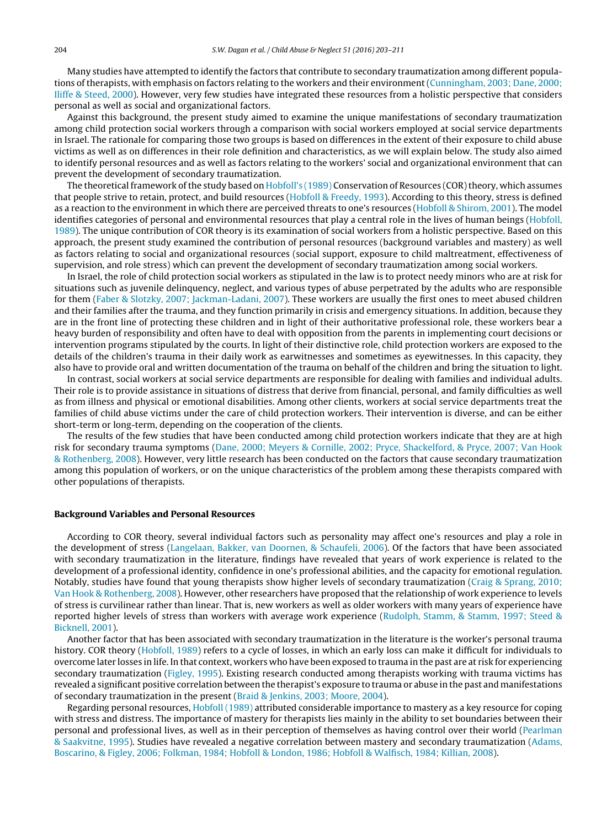Many studies have attempted to identify the factors that contribute to secondary traumatization among different populations of therapists, with emphasis on factors relating to the workers and their environment [\(Cunningham,](#page--1-0) [2003;](#page--1-0) [Dane,](#page--1-0) [2000;](#page--1-0) [Iliffe](#page--1-0) [&](#page--1-0) [Steed,](#page--1-0) [2000\).](#page--1-0) However, very few studies have integrated these resources from a holistic perspective that considers personal as well as social and organizational factors.

Against this background, the present study aimed to examine the unique manifestations of secondary traumatization among child protection social workers through a comparison with social workers employed at social service departments in Israel. The rationale for comparing those two groups is based on differences in the extent of their exposure to child abuse victims as well as on differences in their role definition and characteristics, as we will explain below. The study also aimed to identify personal resources and as well as factors relating to the workers' social and organizational environment that can prevent the development of secondary traumatization.

The theoretical framework of the study based on [Hobfoll's](#page--1-0) [\(1989\)](#page--1-0) Conservation of Resources (COR) theory, which assumes that people strive to retain, protect, and build resources [\(Hobfoll](#page--1-0) [&](#page--1-0) [Freedy,](#page--1-0) [1993\).](#page--1-0) According to this theory, stress is defined as a reaction to the environment in which there are perceived threats to one's resources ([Hobfoll](#page--1-0) [&](#page--1-0) [Shirom,](#page--1-0) [2001\).](#page--1-0) The model identifies categories of personal and environmental resources that play a central role in the lives of human beings [\(Hobfoll,](#page--1-0) [1989\).](#page--1-0) The unique contribution of COR theory is its examination of social workers from a holistic perspective. Based on this approach, the present study examined the contribution of personal resources (background variables and mastery) as well as factors relating to social and organizational resources (social support, exposure to child maltreatment, effectiveness of supervision, and role stress) which can prevent the development of secondary traumatization among social workers.

In Israel, the role of child protection social workers as stipulated in the law is to protect needy minors who are at risk for situations such as juvenile delinquency, neglect, and various types of abuse perpetrated by the adults who are responsible for them ([Faber](#page--1-0) [&](#page--1-0) [Slotzky,](#page--1-0) [2007;](#page--1-0) [Jackman-Ladani,](#page--1-0) [2007\).](#page--1-0) These workers are usually the first ones to meet abused children and their families after the trauma, and they function primarily in crisis and emergency situations. In addition, because they are in the front line of protecting these children and in light of their authoritative professional role, these workers bear a heavy burden of responsibility and often have to deal with opposition from the parents in implementing court decisions or intervention programs stipulated by the courts. In light of their distinctive role, child protection workers are exposed to the details of the children's trauma in their daily work as earwitnesses and sometimes as eyewitnesses. In this capacity, they also have to provide oral and written documentation of the trauma on behalf of the children and bring the situation to light.

In contrast, social workers at social service departments are responsible for dealing with families and individual adults. Their role is to provide assistance in situations of distress that derive from financial, personal, and family difficulties as well as from illness and physical or emotional disabilities. Among other clients, workers at social service departments treat the families of child abuse victims under the care of child protection workers. Their intervention is diverse, and can be either short-term or long-term, depending on the cooperation of the clients.

The results of the few studies that have been conducted among child protection workers indicate that they are at high risk for secondary trauma symptoms [\(Dane,](#page--1-0) [2000;](#page--1-0) [Meyers](#page--1-0) [&](#page--1-0) [Cornille,](#page--1-0) [2002;](#page--1-0) [Pryce,](#page--1-0) [Shackelford,](#page--1-0) [&](#page--1-0) [Pryce,](#page--1-0) [2007;](#page--1-0) [Van](#page--1-0) [Hook](#page--1-0) [&](#page--1-0) [Rothenberg,](#page--1-0) [2008\).](#page--1-0) However, very little research has been conducted on the factors that cause secondary traumatization among this population of workers, or on the unique characteristics of the problem among these therapists compared with other populations of therapists.

#### **Background Variables and Personal Resources**

According to COR theory, several individual factors such as personality may affect one's resources and play a role in the development of stress ([Langelaan,](#page--1-0) [Bakker,](#page--1-0) [van](#page--1-0) [Doornen,](#page--1-0) [&](#page--1-0) [Schaufeli,](#page--1-0) [2006\).](#page--1-0) Of the factors that have been associated with secondary traumatization in the literature, findings have revealed that years of work experience is related to the development of a professional identity, confidence in one's professional abilities, and the capacity for emotional regulation. Notably, studies have found that young therapists show higher levels of secondary traumatization [\(Craig](#page--1-0) [&](#page--1-0) [Sprang,](#page--1-0) [2010;](#page--1-0) [Van](#page--1-0) [Hook](#page--1-0) [&](#page--1-0) [Rothenberg,](#page--1-0) [2008\).](#page--1-0) However, other researchers have proposed that the relationship of work experience to levels of stress is curvilinear rather than linear. That is, new workers as well as older workers with many years of experience have reported higher levels of stress than workers with average work experience [\(Rudolph,](#page--1-0) [Stamm,](#page--1-0) [&](#page--1-0) [Stamm,](#page--1-0) [1997;](#page--1-0) [Steed](#page--1-0) [&](#page--1-0) [Bicknell,](#page--1-0) [2001\).](#page--1-0)

Another factor that has been associated with secondary traumatization in the literature is the worker's personal trauma history. COR theory [\(Hobfoll,](#page--1-0) [1989\)](#page--1-0) refers to a cycle of losses, in which an early loss can make it difficult for individuals to overcome later losses in life. In that context, workers who have been exposed to trauma in the past are at risk for experiencing secondary traumatization [\(Figley,](#page--1-0) 1995). Existing research conducted among therapists working with trauma victims has revealed a significant positive correlation between the therapist's exposure to trauma or abuse in the past and manifestations of secondary traumatization in the present [\(Braid](#page--1-0) [&](#page--1-0) [Jenkins,](#page--1-0) [2003;](#page--1-0) [Moore,](#page--1-0) [2004\).](#page--1-0)

Regarding personal resources, [Hobfoll](#page--1-0) [\(1989\)](#page--1-0) attributed considerable importance to mastery as a key resource for coping with stress and distress. The importance of mastery for therapists lies mainly in the ability to set boundaries between their personal and professional lives, as well as in their perception of themselves as having control over their world [\(Pearlman](#page--1-0) [&](#page--1-0) [Saakvitne,](#page--1-0) [1995\).](#page--1-0) Studies have revealed a negative correlation between mastery and secondary traumatization [\(Adams,](#page--1-0) [Boscarino,](#page--1-0) [&](#page--1-0) [Figley,](#page--1-0) [2006;](#page--1-0) [Folkman,](#page--1-0) [1984;](#page--1-0) [Hobfoll](#page--1-0) [&](#page--1-0) [London,](#page--1-0) [1986;](#page--1-0) [Hobfoll](#page--1-0) [&](#page--1-0) [Walfisch,](#page--1-0) [1984;](#page--1-0) [Killian,](#page--1-0) [2008\).](#page--1-0)